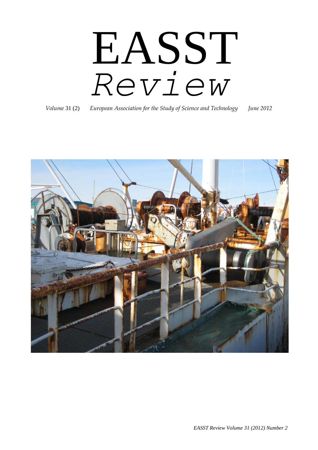# EASST *Review*

*Volume* 31 (2) *European Association for the Study of Science and Technology June 2012*

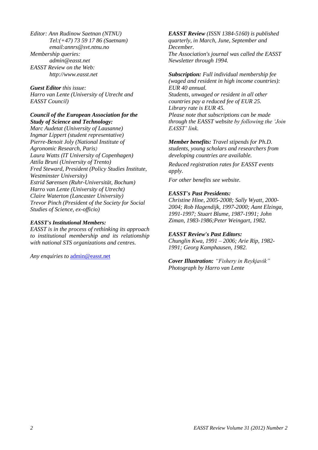*Editor: Ann Rudinow Saetnan (NTNU) Tel:(+47) 73 59 17 86 (Saetnam) email:annrs@svt.ntnu.no Membership queries: admin@easst.net EASST Review on the Web: http://www.easst.net*

*Guest Editor this issue: Harro van Lente (University of Utrecht and EASST Council)*

#### *Council of the European Association for the Study of Science and Technology:*

*Marc Audetat (University of Lausanne) Ingmar Lippert (student representative) Pierre-Benoit Joly (National Institute of Agronomic Research, Paris) Laura Watts (IT University of Copenhagen) Attila Bruni (University of Trento) Fred Steward, President (Policy Studies Institute, Westminster University) Estrid Sørensen (Ruhr-Universität, Bochum) Harro van Lente (University of Utrecht) Claire Waterton (Lancaster University) Trevor Pinch (President of the Society for Social Studies of Science, ex-officio)*

#### *EASST's Institutional Members:*

*EASST is in the process of rethinking its approach to institutional membership and its relationship with national STS organizations and centres.*

*Any enquiries to* [admin@easst.net](mailto:admin@easst.net)

*EASST Review (ISSN 1384-5160) is published quarterly, in March, June, September and December. The Association's journal was called the EASST Newsletter through 1994.* 

#### *Subscription: Full individual membership fee*

*(waged and resident in high income countries): EUR 40 annual. Students, unwaged or resident in all other countries pay a reduced fee of EUR 25. Library rate is EUR 45. Please note that subscriptions can be made through the EASST website by following the 'Join EASST' link.*

*Member benefits: Travel stipends for Ph.D. students, young scholars and researchers from developing countries are available.* 

*Reduced registration rates for EASST events apply.* 

*For other benefits see website.*

#### *EASST's Past Presidents:*

*Christine Hine, 2005-2008; Sally Wyatt, 2000- 2004; Rob Hagendijk, 1997-2000; Aant Elzinga, 1991-1997; Stuart Blume, 1987-1991; John Ziman, 1983-1986;Peter Weingart, 1982.* 

#### *EASST Review's Past Editors:*

*Chunglin Kwa, 1991 – 2006; Arie Rip, 1982- 1991; Georg Kamphausen, 1982.*

*Cover Illustration: "Fishery in Reykjavik" Photograph by Harro van Lente*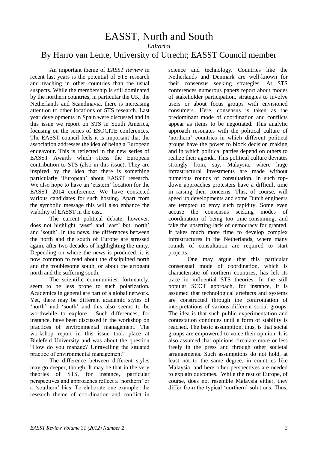### <span id="page-2-0"></span>EASST, North and South *Editorial* By Harro van Lente, University of Utrecht; EASST Council member

An important theme of *EASST Review* in recent last years is the potential of STS research and teaching in other countries than the usual suspects. While the membership is still dominated by the northern countries, in particular the UK, the Netherlands and Scandinavia, there is increasing attention to other locations of STS research. Last year developments in Spain were discussed and in this issue we report on STS in South America, focusing on the series of ESOCITE conferences. The EASST council feels it is important that the association addresses the idea of being a European endeavour. This is reflected in the new series of EASST Awards which stress the European contribution to STS (also in this issue). They are inspired by the idea that there is something particularly 'European' about EASST research. We also hope to have an 'eastern' location for the EASST 2014 conference. We have contacted various candidates for such hosting. Apart from the symbolic message this will also enhance the viability of EASST in the east.

The current political debate, however, does not highlight 'west' and 'east' but 'north' and 'south'. In the news, the differences between the north and the south of Europe are stressed again, after two decades of highlighting the unity. Depending on where the news is produced, it is now common to read about the disciplined north and the troublesome south, or about the arrogant north and the suffering south.

The scientific communities, fortunately, seem to be less prone to such polarization. Academics in general are part of a global network. Yet, there may be different academic styles of 'north' and 'south' and this also seems to be worthwhile to explore. Such differences, for instance, have been discussed in the workshop on practices of environmental management. The workshop report in this issue took place at Bielefeld University and was about the question "How do you manage? Unravelling the situated practice of environmental management"

The difference between different styles may go deeper, though. It may be that in the very theories of STS, for instance, particular perspectives and approaches reflect a 'northern' or a 'southern' bias. To elaborate one example: the research theme of coordination and conflict in

science and technology. Countries like the Netherlands and Denmark are well-known for their consensus seeking strategies. At STS conferences numerous papers report about modes of stakeholder participation, strategies to involve users or about focus groups with envisioned consumers. Here, consensus is taken as the predominant mode of coordination and conflicts appear as items to be negotiated. This analytic approach resonates with the political culture of 'northern' countries in which different political groups have the power to block decision making and in which political parties depend on others to realize their agenda. This political culture deviates strongly from, say, Malaysia, where huge infrastructural investments are made without numerous rounds of consultation. In such topdown approaches protesters have a difficult time in raising their concerns. This, of course, will speed up developments and some Dutch engineers are tempted to envy such rapidity. Some even accuse the consensus seeking modes of coordination of being too time-consuming, and take the upsetting lack of democracy for granted. It takes much more time to develop complex infrastructures in the Netherlands, where many rounds of consultation are required to start projects.

One may argue that this particular consensual mode of coordination, which is characteristic of northern countries, has left its trace in influential STS theories. In the still popular SCOT approach, for instance, it is assumed that technological artefacts and systems are constructed through the confrontation of interpretations of various different social groups. The idea is that such public experimentation and contestation continues until a form of stability is reached. The basic assumption, thus, is that social groups are empowered to voice their opinion. It is also assumed that opinions circulate more or less freely in the press and through other societal arrangements. Such assumptions do not hold, at least not to the same degree, in countries like Malaysia, and here other perspectives are needed to explain outcomes. While the rest of Europe, of course, does not resemble Malaysia either, they differ from the typical 'northern' solutions. Thus,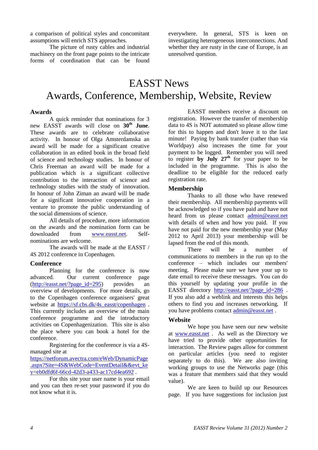a comparison of political styles and concomitant assumptions will enrich STS approaches.

<span id="page-3-0"></span>The picture of rusty cables and industrial machinery on the front page points to the intricate forms of coordination that can be found everywhere. In general, STS is keen on investigating heterogeneous interconnections. And whether they are rusty in the case of Europe, is an unresolved question.

## EASST News Awards, Conference, Membership, Website, Review

#### **Awards**

A quick reminder that nominations for 3 new EASST awards will close on **30th June**. These awards are to celebrate collaborative activity. In honour of Olga Amsterdamska an award will be made for a significant creative collaboration in an edited book in the broad field of science and technology studies. In honour of Chris Freeman an award will be made for a publication which is a significant collective contribution to the interaction of science and technology studies with the study of innovation. In honour of John Ziman an award will be made for a significant innovative cooperation in a venture to promote the public understanding of the social dimensions of science.

All details of procedure, more information on the awards and the nomination form can be downloaded from [www.easst.net.](http://www.easst.net/) Selfnominations are welcome.

The awards will be made at the EASST / 4S 2012 conference in Copenhagen.

#### **Conference**

Planning for the conference is now advanced. Our current conference page  $(http://easset.net/?page_id=295)$  provides an overview of developments. For more details, go to the Copenhagen conference organisers' great website at [https://sf.cbs.dk/4s\\_easst/copenhagen](https://sf.cbs.dk/4s_easst/copenhagen). This currently includes an overview of the main conference programme and the introductory activities on Copenhagenization. This site is also the place where you can book a hotel for the conference.

Registering for the conference is via a 4Smanaged site at

[https://netforum.avectra.com/eWeb/DynamicPage](https://netforum.avectra.com/eWeb/DynamicPage.aspx?Site=4S&WebCode=EventDetail&&evt_key=eb0dfd6f-66cd-42d3-a433-ac17cd4ea692) [.aspx?Site=4S&WebCode=EventDetail&&evt\\_ke](https://netforum.avectra.com/eWeb/DynamicPage.aspx?Site=4S&WebCode=EventDetail&&evt_key=eb0dfd6f-66cd-42d3-a433-ac17cd4ea692) [y=eb0dfd6f-66cd-42d3-a433-ac17cd4ea692](https://netforum.avectra.com/eWeb/DynamicPage.aspx?Site=4S&WebCode=EventDetail&&evt_key=eb0dfd6f-66cd-42d3-a433-ac17cd4ea692) .

For this site your user name is your email and you can then re-set your password if you do not know what it is.

EASST members receive a discount on registration. However the transfer of membership data to 4S is NOT automated so please allow time for this to happen and don't leave it to the last minute! Paying by bank transfer (rather than via Worldpay) also increases the time for your payment to be logged. Remember you will need to register **by July 27th** for your paper to be included in the programme. This is also the deadline to be eligible for the reduced early registration rate.

#### **Membership**

Thanks to all those who have renewed their membership. All membership payments will be acknowledged so if you have paid and have not heard from us please contact [admin@easst.net](mailto:admin@easst.net) with details of when and how you paid. If you have not paid for the new membership year (May 2012 to April 2013) your membership will be lapsed from the end of this month.

There will be a number of communications to members in the run up to the conference – which includes our members' meeting. Please make sure we have your up to date email to receive these messages. You can do this yourself by updating your profile in the EASST directory [http://easst.net/?page\\_id=286](http://easst.net/?page_id=286) . If you also add a weblink and interests this helps others to find you and increases networking. If you have problems contact [admin@easst.net](mailto:admin@easst.net) .

#### **Website**

We hope you have seen our new website at [www.easst.net](http://www.easst.net/) . As well as the Directory we have tried to provide other opportunities for interaction. The Review pages allow for comment on particular articles (you need to register separately to do this). We are also inviting working groups to use the Networks page (this was a feature that members said that they would value).

We are keen to build up our Resources page. If you have suggestions for inclusion just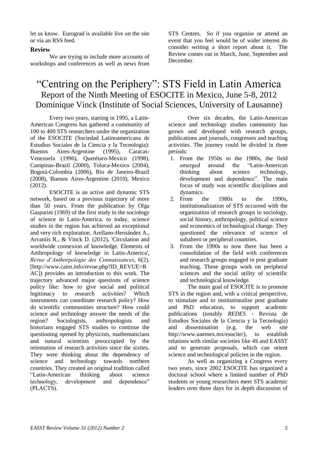let us know. Eurograd is available live on the site or via an RSS feed.

#### **Review**

We are trying to include more accounts of workshops and conferences as well as news from STS Centres. So if you organise or attend an event that you feel would be of wider interest do consider writing a short report about it. The Review comes out in March, June, September and December.

## <span id="page-4-0"></span>"Centring on the Periphery": STS Field in Latin America Report of the Ninth Meeting of ESOCITE in Mexico, June 5-8, 2012 Dominique Vinck (Institute of Social Sciences, University of Lausanne)

Every two years, starting in 1995, a Latin-American Congress has gathered a community of 100 to 400 STS researchers under the organization of the ESOCITE (Sociedad Latinoamericana de Estudios Sociales de la Ciencia y la Tecnología): Buenos Aires-Argentine (1995), Caracas-Venezuela (1996), Querétaro-Mexico (1998), Campinas-Brazil (2000), Toluca-Mexico (2004), Bogotá-Colombia (2006), Rio de Janeiro-Brazil (2008), Buenos Aires-Argentine (2010), Mexico (2012).

ESOCITE is an active and dynamic STS network, based on a previous trajectory of more than 50 years. From the publication by Olga Gasparini (1969) of the first study in the sociology of science in Latin-America, to today, science studies in the region has achieved an exceptional and very rich exploration. Arellano-Hernández A., Arvaniis R., & Vinck D. (2012), 'Circulation and worldwide connexion of knowledge. Elements of Anthropology of knowledge in Latin-America', *Revue d'Anthorpologie des Connaissances*, 6(2). [http://www.cairn.info/revue.php?ID\_REVUE=R AC]) provides an introduction to this work. The trajectory advanced major questions of science policy like: how to give social and political legitimacy to research activities? Which instruments can coordinate research policy? How do scientific communities structure? How could science and technology answer the needs of the region? Sociologists, anthropologists and historians engaged STS studies to continue the questioning opened by physicists, mathematicians and natural scientists preoccupied by the orientation of research activities since the sixties. They were thinking about the dependency of science and technology towards northern countries. They created an original tradition called "Latin-American thinking about science technology, development and dependence" (PLACTS).

Over six decades, the Latin-American science and technology studies community has grown and developed with research groups, publications and journals, congresses and teaching activities. The journey could be divided in three periods:

- 1. From the 1950s to the 1980s, the field emerged around the "Latin-American thinking about science technology, development and dependence". The main focus of study was scientific disciplines and dynamics.
- 2. From the 1980s to the 1990s, institutionalization of STS occurred with the organization of research groups in sociology, social history, anthropology, political science and economics of technological change. They questioned the relevance of science of subaltern or peripheral countries.
- 3. From the 1990s to now there has been a consolidation of the field with conferences and research groups engaged in post graduate teaching. These groups work on peripheral sciences and the social utility of scientific and technological knowledge.

The main goal of ESOCITE is to promote STS in the region and, with a critical perspective, to stimulate and to institutionalise post graduate and PhD education, to support academic publications (notably *REDES* - Revista de Estudios Sociales de la Ciencia y la Tecnología) and dissemination (e.g. the web site http://www.uaemex.mx/esocite/), to establish relations with similar societies like 4S and EASST and to generate proposals, which can orient science and technological policies in the region.

As well as organizing a Congress every two years, since 2002 ESOCITE has organized a doctoral school where a limited number of PhD students or young researchers meet STS academic leaders over three days for in depth discussion of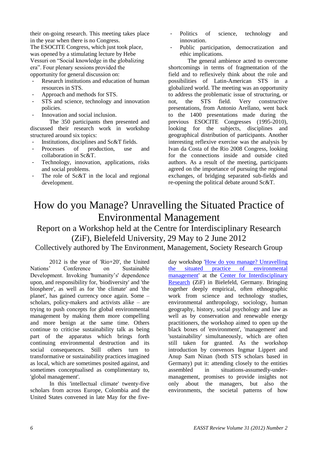their on-going research. This meeting takes place in the year when there is no Congress. The ESOCITE Congress, which just took place, was opened by a stimulating lecture by Hebe Vessuri on "Social knowledge in the globalizing era". Four plenary sessions provided the opportunity for general discussion on:

- Research institutions and education of human resources in STS.
- Approach and methods for STS.
- STS and science, technology and innovation policies.
- Innovation and social inclusion.

The 350 participants then presented and discussed their research work in workshop structured around six topics:

- Institutions, disciplines and Sc&T fields.
- Processes of production, use and collaboration in Sc&T.
- Technology, innovation, applications, risks and social problems.
- <span id="page-5-0"></span>- The role of Sc&T in the local and regional development.
- Politics of science, technology and innovation.
- Public participation, democratization and ethic implications.

The general ambience acted to overcome shortcomings in terms of fragmentation of the field and to reflexively think about the role and possibilities of Latin-American STS in a globalized world. The meeting was an opportunity to address the problematic issue of structuring, or not, the STS field. Very constructive presentations, from Antonio Arellano, went back to the 1400 presentations made during the previous ESOCITE Congresses (1995-2010), looking for the subjects, disciplines and geographical distribution of participants. Another interesting reflexive exercise was the analysis by Ivan da Costa of the Rio 2008 Congress, looking for the connections inside and outside cited authors. As a result of the meeting, participants agreed on the importance of pursuing the regional exchanges, of bridging separated sub-fields and re-opening the political debate around Sc&T.

# How do you Manage? Unravelling the Situated Practice of Environmental Management

## Report on a Workshop held at the Centre for Interdisciplinary Research (ZiF), Bielefeld University, 29 May to 2 June 2012

Collectively authored by The Environment, Management, Society Research Group

2012 is the year of 'Rio+20', the United Nations' Conference on Sustainable Development. Invoking 'humanity's' dependence upon, and responsibility for, 'biodiversity' and 'the biosphere', as well as for 'the climate' and 'the planet', has gained currency once again. Some – scholars, policy-makers and activists alike – are trying to push concepts for global environmental management by making them more compelling and more benign at the same time. Others continue to criticise sustainability talk as being part of the apparatus which brings forth continuing environmental destruction and its social consequences. Still others turn to transformative or sustainability practices imagined as local, which are sometimes posited against, and sometimes conceptualised as complimentary to, 'global management'.

In this 'intellectual climate' twenty-five scholars from across Europe, Colombia and the United States convened in late May for the five-

day workshop ['How do you manage? Unravelling](http://www.ems-research.org/environmental-management-practised)  [the situated practice of environmental](http://www.ems-research.org/environmental-management-practised)  [management'](http://www.ems-research.org/environmental-management-practised) at the [Center for Interdisciplinary](http://www.universitaet-bielefeld.de/ZIF/)  [Research](http://www.universitaet-bielefeld.de/ZIF/) (ZiF) in Bielefeld, Germany. Bringing together deeply empirical, often ethnographic work from science and technology studies, environmental anthropology, sociology, human geography, history, social psychology and law as well as by conservation and renewable energy practitioners, the workshop aimed to open up the black boxes of 'environment', 'management' and 'sustainability' simultaneously, which are often still taken for granted. As the workshop introduction by convenors Ingmar Lippert and Anup Sam Ninan (both STS scholars based in Germany) put it: attending closely to the entities assembled in situations-assumedly-undermanagement, promises to provide insights not only about the managers, but also the environments, the societal patterns of how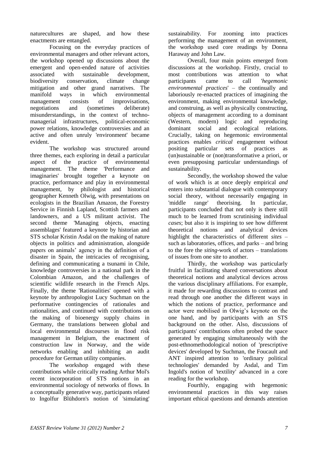naturecultures are shaped, and how these enactments are entangled.

Focusing on the everyday practices of environmental managers and other relevant actors, the workshop opened up discussions about the emergent and open-ended nature of activities associated with sustainable development, biodiversity conservation, climate change mitigation and other grand narratives. The manifold ways in which environmental management consists of improvisations, negotiations and (sometimes deliberate) misunderstandings, in the context of technomanagerial infrastructures, political-economic power relations, knowledge controversies and an active and often unruly 'environment' became evident.

The workshop was structured around three themes, each exploring in detail a particular aspect of the practice of environmental management. The theme 'Performance and imaginaries' brought together a keynote on practice, performance and play in environmental management, by philologist and historical geographer Kenneth Olwig, with presentations on ecologists in the Brazilian Amazon, the Forestry Service in Finnish Lapland, Scottish farmers and landowners, and a US militant activist. The second theme 'Managing objects, enacting assemblages' featured a keynote by historian and STS scholar Kristin Asdal on the making of nature objects in politics and administration, alongside papers on animals' agency in the definition of a disaster in Spain, the intricacies of recognising, defining and communicating a tsunami in Chile, knowledge controversies in a national park in the Colombian Amazon, and the challenges of scientific wildlife research in the French Alps. Finally, the theme 'Rationalities' opened with a keynote by anthropologist Lucy Suchman on the performative contingencies of rationales and rationalities, and continued with contributions on the making of bioenergy supply chains in Germany, the translations between global and local environmental discourses in flood risk management in Belgium, the enactment of construction law in Norway, and the wide networks enabling and inhibiting an audit procedure for German utility companies.

The workshop engaged with these contributions while critically reading Arthur Mol's recent incorporation of STS notions in an environmental sociology of networks of flows. In a conceptually generative way, participants related to Ingolfur Blühdorn's notion of 'simulating'

sustainability. For zooming into practices performing the management of an environment, the workshop used core readings by Donna Haraway and John Law.

Overall, four main points emerged from discussions at the workshop. Firstly, crucial to most contributions was attention to what participants came to call '*hegemonic environmental practices*' – the continually and laboriously re-enacted practices of imagining the environment, making environmental knowledge, and construing, as well as physically constructing, objects of management according to a dominant<br>(Western, modern) logic and reproducing (Western, modern) logic and reproducing dominant social and ecological relations. Crucially, taking on hegemonic environmental practices enables *critical* engagement without positing particular sets of practices as (un)sustainable or (non)transformative a priori, or even presupposing particular understandings of sustainability.

Secondly, the workshop showed the value of work which is at once deeply empirical *and* enters into substantial dialogue with contemporary social theory, without necessarily engaging in 'middle range' theorising. In particular, participants concluded that not only is there still much to be learned from scrutinising individual *cases*; but also it is inspiring to see how different theoretical notions and analytical devices highlight the characteristics of different *sites* – such as laboratories, offices, and parks – and bring to the fore the *siting*-work of actors – translations of issues from one site to another.

Thirdly, the workshop was particularly fruitful in facilitating shared conversations about theoretical notions and analytical devices across the various disciplinary affiliations. For example, it made for rewarding discussions to contrast and read through one another the different ways in which the notions of practice, performance and actor were mobilised in Olwig's keynote on the one hand, and by participants with an STS background on the other. Also, discussions of participants' contributions often probed the space generated by engaging simultaneously with the post-ethnomethodological notion of 'prescriptive devices' developed by Suchman, the Foucault and ANT inspired attention to 'ordinary political technologies' demanded by Asdal, and Tim Ingold's notion of 'textility' advanced in a core reading for the workshop.

Fourthly, engaging with hegemonic environmental practices in this way raises important ethical questions and demands attention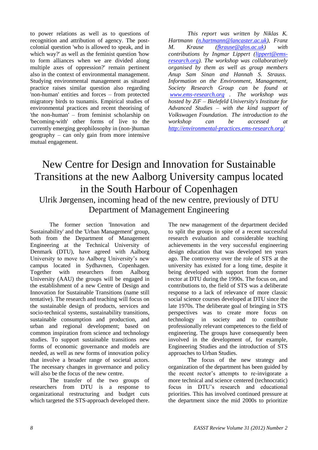to power relations as well as to questions of recognition and attribution of agency. The postcolonial question 'who is allowed to speak, and in which way?' as well as the feminist question 'how to form alliances when we are divided along multiple axes of oppression?' remain pertinent also in the context of environmental management. Studying environmental management as situated practice raises similar question also regarding 'non-human' entities and forces – from protected migratory birds to tsunamis. Empirical studies of environmental practices and recent theorising of 'the non-human' – from feminist scholarship on 'becoming-with' other forms of live to the currently emerging geophilosophy in (non-)human geography – can only gain from more intensive mutual engagement.

*This report was written by Niklas K. Hartmann [\(n.hartmann@lancaster.ac.uk\)](mailto:n.hartmann@lancaster.ac.uk), Franz M. Krause [\(fkrause@glos.ac.uk\)](mailto:fkrause@glos.ac.uk) with contributions by Ingmar Lippert [\(lippert@ems](mailto:lippert@ems-research.org)[research.org\)](mailto:lippert@ems-research.org). The workshop was collaboratively organised by them as well as group members Anup Sam Sinan and Hannah S. Strauss. Information on the Environment, Management, Society Research Group can be found at [www.ems-research.org](http://www.ems-research.org/) . The workshop was hosted by ZiF – Bielefeld University's Institute for Advanced Studies – with the kind support of Volkswagen Foundation. The introduction to the workshop can be accessed at <http://environmental-practices.ems-research.org/>*

## <span id="page-7-0"></span>New Centre for Design and Innovation for Sustainable Transitions at the new Aalborg University campus located in the South Harbour of Copenhagen

## Ulrik Jørgensen, incoming head of the new centre, previously of DTU Department of Management Engineering

The former section 'Innovation and Sustainability' and the 'Urban Management' group, both from the Department of Management Engineering at the Technical University of Denmark (DTU), have agreed with Aalborg University to move to Aalborg University's new campus located in Sydhavnen, Copenhagen. Together with researchers from Aalborg University (AAU) the groups will be engaged in the establishment of a new Centre of Design and Innovation for Sustainable Transitions (name still tentative). The research and teaching will focus on the sustainable design of products, services and socio-technical systems, sustainability transitions, sustainable consumption and production, and urban and regional development; based on common inspiration from science and technology studies. To support sustainable transitions new forms of economic governance and models are needed, as well as new forms of innovation policy that involve a broader range of societal actors. The necessary changes in governance and policy will also be the focus of the new centre.

The transfer of the two groups of researchers from DTU is a response to organizational restructuring and budget cuts which targeted the STS-approach developed there. The new management of the department decided to split the groups in spite of a recent successful research evaluation and considerable teaching achievements in the very successful engineering design education that was developed ten years ago. The controversy over the role of STS at the university has existed for a long time, despite it being developed with support from the former rector at DTU during the 1990s. The focus on, and contributions to, the field of STS was a deliberate response to a lack of relevance of more classic social science courses developed at DTU since the late 1970s. The deliberate goal of bringing in STS perspectives was to create more focus on technology in society and to contribute professionally relevant competences to the field of engineering. The groups have consequently been involved in the development of, for example, Engineering Studies and the introduction of STS approaches to Urban Studies.

The focus of the new strategy and organization of the department has been guided by the recent rector's attempts to re-invigorate a more technical and science centered (technocratic) focus in DTU's research and educational priorities. This has involved continued pressure at the department since the mid 2000s to prioritize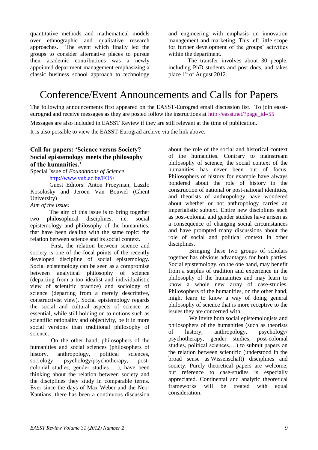quantitative methods and mathematical models over ethnographic and qualitative research approaches. The event which finally led the groups to consider alternative places to pursue their academic contributions was a newly appointed department management emphasizing a classic business school approach to technology

and engineering with emphasis on innovation management and marketing. This left little scope for further development of the groups' activities within the department.

The transfer involves about 30 people, including PhD students and post docs, and takes place  $1<sup>st</sup>$  of August 2012.

# <span id="page-8-0"></span>Conference/Event Announcements and Calls for Papers

The following announcements first appeared on the EASST-Eurograd email discussion list. To join eassteurograd and receive messages as they are posted follow the instructions at [http://easst.net/?page\\_id=55](http://easst.net/?page_id=55)

Messages are also included in EASST Review if they are still relevant at the time of publication.

It is also possible to view the EASST-Eurograd archive via the link above.

#### **Call for papers: 'Science versus Society? Social epistemology meets the philosophy of the humanities.'**

Special Issue of *Foundations of Science* <http://www.vub.ac.be/FOS/>

Guest Editors: Anton Froeyman, Laszlo Kosolosky and Jeroen Van Bouwel (Ghent University)

*Aim of the issue:*

The aim of this issue is to bring together two philosophical disciplines, i.e. social epistemology and philosophy of the humanities, that have been dealing with the same topic: the relation between science and its social context.

First, the relation between science and society is one of the focal points of the recently developed discipline of social epistemology. Social epistemology can be seen as a compromise between analytical philosophy of science (departing from a too idealist and individualistic view of scientific practice) and sociology of science (departing from a merely descriptive, constructivist view). Social epistemology regards the social and cultural aspects of science as essential, while still holding on to notions such as scientific rationality and objectivity, be it in more social versions than traditional philosophy of science.

On the other hand, philosophers of the humanities and social sciences (philosophers of history, anthropology, political sciences, sociology, psychology/psychotherapy, postcolonial studies, gender studies… ), have been thinking about the relation between society and the disciplines they study in comparable terms. Ever since the days of Max Weber and the Neo-Kantians, there has been a continuous discussion about the role of the social and historical context of the humanities. Contrary to mainstream philosophy of science, the social context of the humanities has never been out of focus. Philosophers of history for example have always pondered about the role of history in the construction of national or post-national identities, and theorists of anthropology have wondered about whether or not anthropology carries an imperialistic subtext. Entire new disciplines such as post-colonial and gender studies have arisen as a consequence of changing social circumstances and have prompted many discussions about the role of social and political context in other disciplines.

Bringing these two groups of scholars together has obvious advantages for both parties. Social epistemology, on the one hand, may benefit from a surplus of tradition and experience in the philosophy of the humanities and may learn to know a whole new array of case-studies. Philosophers of the humanities, on the other hand, might learn to know a way of doing general philosophy of science that is more receptive to the issues they are concerned with.

We invite both social epistemologists and philosophers of the humanities (such as theorists of history, anthropology, psychology/ psychotherapy, gender studies, post-colonial studies, political sciences,…) to submit papers on the relation between scientific (understood in the broad sense as Wissenschaft) disciplines and society. Purely theoretical papers are welcome, but reference to case-studies is especially appreciated. Continental and analytic theoretical frameworks will be treated with equal consideration.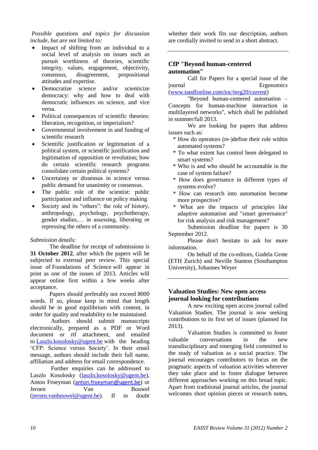#### *Possible questions and topics for discussion include, but are not limited to:*

- Impact of shifting from an individual to a social level of analysis on issues such as pursuit worthiness of theories, scientific integrity, values, engagement, objectivity, consensus, disagreement, propositional attitudes and expertise.
- Democratize science and/or scienticize democracy: why and how to deal with democratic influences on science, and vice versa.
- Political consequences of scientific theories: liberation, recognition, or imperialism?
- Governmental involvement in and funding of scientific research
- Scientific justification or legitimation of a political system, or scientific justification and legitimation of opposition or revolution; how do certain scientific research programs consolidate certain political systems?
- Uncertainty or dissensus in science versus public demand for unanimity or consensus.
- The public role of the scientist: public participation and influence on policy making
- Society and its "others": the role of history, anthropology, psychology, psychotherapy, gender studies,… in assessing, liberating or repressing the others of a community.

#### *Submission details:*

The deadline for receipt of submissions is **31 October 2012**, after which the papers will be subjected to external peer review. This special issue of Foundations of Science will appear in print as one of the issues of 2013. Articles will appear online first within a few weeks after acceptance.

Papers should preferably not exceed 8000 words. If so, please keep in mind that length should be in good equilibrium with content, in order for quality and readability to be maintained.

Authors should submit manuscripts electronically, prepared as a PDF or Word document or rtf attachment, and emailed to [Laszlo.kosolosky@ugent.be](mailto:Laszlo.kosolosky@ugent.be) with the heading 'CFP: Science versus Society'. In their email message, authors should include their full name, affiliation and address for email correspondence.

Further enquiries can be addressed to Laszlo Kosolosky [\(laszlo.kosolosky@ugent.be\)](mailto:laszlo.kosolosky@ugent.be), Anton Froeyman ([anton.froeyman@ugent.be](mailto:anton.froeyman@ugent.be)) or Jeroen Van Bouwel [\(jeroen.vanbouwel@ugent.be\)](mailto:jeroen.vanbouwel@ugent.be). If in doubt whether their work fits our description, authors are cordially invited to send in a short abstract.

#### **CfP "Beyond human-centered automation"**

Call for Papers for a special issue of the journal Ergonomics [\(www.tandfonline.com/toc/terg20/current\)](http://www.tandfonline.com/toc/terg20/current)

"Beyond human-centered automation – Concepts for human-machine interaction in multilayered networks", which shall be published in summer/fall 2013.

We are looking for papers that address issues such as:

- \* How do operators (re-)define their role within automated systems?
- \* To what extent has control been delegated to smart systems?
- \* Who is and who should be accountable in the case of system failure?
- \* How does governance in different types of systems evolve?
- \* How can research into automation become more prospective?
- \* What are the impacts of principles like adaptive automation and "smart governance" for risk analysis and risk management?

Submission deadline for papers is 30 September 2012.

Please don't hesitate to ask for more information.

On behalf of the co-editors, Gudela Grote (ETH Zurich) and Neville Stanton (Southampton University), Johannes Weyer

#### **Valuation Studies: New open access journal looking for contributions**

A new exciting open access journal called Valuation Studies. The journal is now seeking contributions to its first set of issues (planned for 2013).

Valuation Studies is committed to foster valuable conversations in the new transdisciplinary and emerging field committed to the study of valuation as a social practice. The journal encourages contributors to focus on the pragmatic aspects of valuation activities wherever they take place and to foster dialogue between different approaches working on this broad topic. Apart from traditional journal articles, the journal welcomes short opinion pieces or research notes,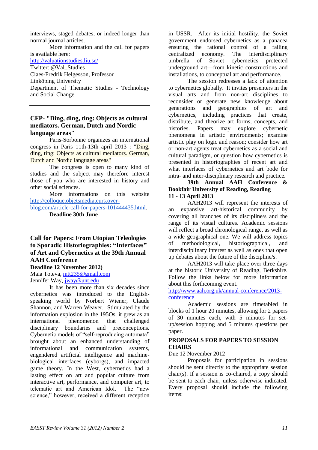interviews, staged debates, or indeed longer than normal journal articles.

More information and the call for papers is available here:

<http://valuationstudies.liu.se/>

Twitter: @Val\_Studies Claes-Fredrik Helgesson, Professor Linköping University Department of Thematic Studies - Technology and Social Change

#### **CFP- "Ding, ding, ting: Objects as cultural mediators. German, Dutch and Nordic language areas"**

Paris-Sorbonne organizes an international congress in Paris 11th-13th april 2013 : "Ding, ding, ting: Objects as cultural mediators. German, Dutch and Nordic language areas"

The congress is open to many kind of studies and the subject may therefore interest those of you who are interested in history and other social sciences.

More informations on this website [http://colloque.objetsmediateurs.over-](http://colloque.objetsmediateurs.over-blog.com/article-call-for-papers-101444435.html)

[blog.com/article-call-for-papers-101444435.html.](http://colloque.objetsmediateurs.over-blog.com/article-call-for-papers-101444435.html) **Deadline 30th June**

#### **Call for Papers: From Utopian Teleologies to Sporadic Historiographies: "Interfaces" of Art and Cybernetics at the 39th Annual AAH Conference**

**Deadline 12 November 2012)**

Maia Toteva, [mtt235@gmail.com](mailto:mtt235@gmail.com) Jennifer Way, [jway@unt.edu](mailto:jway@unt.edu)

It has been more than six decades since cybernetics was introduced to the Englishspeaking world by Norbert Wiener, Claude Shannon, and Warren Weaver. Stimulated by the information explosion in the 195Os, it grew as an international phenomenon that challenged disciplinary boundaries and preconceptions. Cybernetic models of "self-reproducing automata" brought about an enhanced understanding of informational and communication systems, engendered artificial intelligence and machinebiological interfaces (cyborgs), and impacted game theory. In the West, cybernetics had a lasting effect on art and popular culture from interactive art, performance, and computer art, to telematic art and American Idol. The "new science," however, received a different reception

in USSR. After its initial hostility, the Soviet government endorsed cybernetics as a panacea ensuring the rational control of a failing centralized economy. The interdisciplinary umbrella of Soviet cybernetics protected underground art—from kinetic constructions and installations, to conceptual art and performance.

The session redresses a lack of attention to cybernetics globally. It invites presenters in the visual arts and from non-art disciplines to reconsider or generate new knowledge about generations and geographies of art and cybernetics, including practices that create, distribute, and theorize art forms, concepts, and histories. Papers may explore cybernetic phenomena in artistic environments; examine artistic play on logic and reason; consider how art or non-art agents treat cybernetics as a social and cultural paradigm, or question how cybernetics is presented in historiographies of recent art and what interfaces of cybernetics and art bode for intra- and inter-disciplinary research and practice.

#### **39th Annual AAH Conference & Bookfair University of Reading, Reading 11 - 13 April 2013**

AAH2013 will represent the interests of an expansive art-historical community by covering all branches of its discipline/s and the range of its visual cultures. Academic sessions will reflect a broad chronological range, as well as a wide geographical one. We will address topics of methodological, historiographical, and interdisciplinary interest as well as ones that open up debates about the future of the discipline/s.

AAH2013 will take place over three days at the historic University of Reading, Berkshire. Follow the links below for more information about this forthcoming event.

#### [http://www.aah.org.uk/annual-conference/2013](http://www.aah.org.uk/annual-conference/2013-conference) [conference](http://www.aah.org.uk/annual-conference/2013-conference)

Academic sessions are timetabled in blocks of 1 hour 20 minutes, allowing for 2 papers of 30 minutes each, with 5 minutes for setup/session hopping and 5 minutes questions per paper.

#### **PROPOSALS FOR PAPERS TO SESSION CHAIRS**

Due 12 November 2012

Proposals for participation in sessions should be sent directly to the appropriate session chair(s). If a session is co-chaired, a copy should be sent to each chair, unless otherwise indicated. Every proposal should include the following items: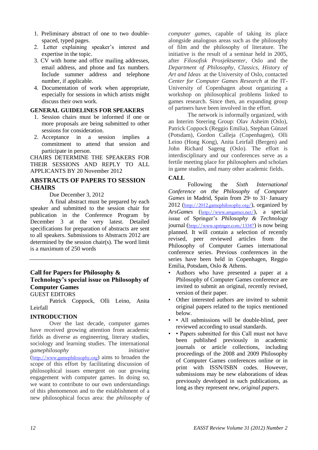- 1. Preliminary abstract of one to two doublespaced, typed pages.
- 2. Letter explaining speaker's interest and expertise in the topic.
- 3. CV with home and office mailing addresses, email address, and phone and fax numbers. Include summer address and telephone number, if applicable.
- 4. Documentation of work when appropriate, especially for sessions in which artists might discuss their own work.

#### **GENERAL GUIDELINES FOR SPEAKERS**

- 1. Session chairs must be informed if one or more proposals are being submitted to other sessions for consideration.
- 2. Acceptance in a session implies a commitment to attend that session and participate in person.

CHAIRS DETERMINE THE SPEAKERS FOR THEIR SESSIONS AND REPLY TO ALL APPLICANTS BY 20 November 2012

#### **ABSTRACTS OF PAPERS TO SESSION CHAIRS**

Due December 3, 2012

A final abstract must be prepared by each speaker and submitted to the session chair for publication in the Conference Program by December 3 at the very latest. Detailed specifications for preparation of abstracts are sent to all speakers. Submissions to Abstracts 2012 are determined by the session chair(s). The word limit is a maximum of 250 words

#### **Call for Papers for Philosophy & Technology's special issue on Philosophy of Computer Games**

GUEST EDITORS

Patrick Coppock, Olli Leino, Anita Leirfall

#### **INTRODUCTION**

Over the last decade, computer games have received growing attention from academic fields as diverse as engineering, literary studies, sociology and learning studies. The international *gamephilosophy initiative* ([http://www.gamephilosophy.org](http://www.gamephilosophy.org/)) aims to broaden the scope of this effort by facilitating discussion of philosophical issues emergent on our growing engagement with computer games. In doing so, we want to contribute to our own understandings of this phenomenon and to the establishment of a new philosophical focus area: the *philosophy of* 

*computer games*, capable of taking its place alongside analogous areas such as the philosophy of film and the philosophy of literature. The initiative is the result of a seminar held in 2005, after *Filosofisk Prosjektsenter*, Oslo and the *Department of Philosophy, Classics, History of Art and Ideas* at the University of Oslo, contacted *Center for Computer Games Research* at the IT-University of Copenhagen about organizing a workshop on philosophical problems linked to games research. Since then, an expanding group of partners have been involved in the effort.

The network is informally organized, with an Interim Steering Group: Olav Asheim (Oslo), Patrick Coppock (Reggio Emilia), Stephan Günzel (Potsdam), Gordon Calleja (Copenhagen), Olli Leino (Hong Kong), Anita Leirfall (Bergen) and John Richard Sageng (Oslo). The effort is interdisciplinary and our conferences serve as a fertile meeting place for philosophers and scholars in game studies, and many other academic fields.

#### **CALL**

Following the *Sixth International Conference on the Philosophy of Computer Games* in Madrid, Spain from 29<sup>th</sup> to 31<sup>st</sup> January 2012 (<http://2012.gamephilosophy.org/>), organized by *ArsGames* (<http://www.arsgames.net/>), a special issue of Springer's *Philosophy & Technology* journal (<http://www.springer.com/13347>) is now being planned. It will contain a selection of recently revised, peer reviewed articles from the Philosophy of Computer Games international conference series. Previous conferences in the series have been held in Copenhagen, Reggio Emilia, Potsdam, Oslo & Athens.

- Authors who have presented a paper at a Philosophy of Computer Games conference are invited to submit an original, recently revised, version of their paper.
- Other interested authors are invited to submit original papers related to the topics mentioned below.
- • All submissions will be double-blind, peer reviewed according to usual standards.
- • Papers submitted for this Call must not have been published previously in academic journals or article collections, including proceedings of the 2008 and 2009 Philosophy of Computer Games conferences online or in print with ISSN/ISBN codes. However, submissions may be new elaborations of ideas previously developed in such publications, as long as they represent *new, original papers*.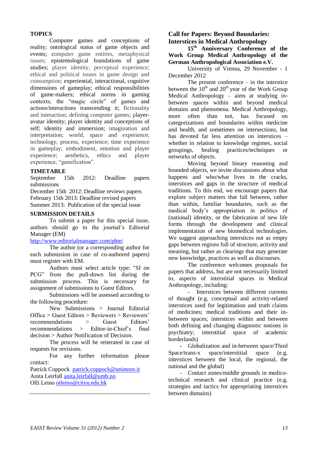#### **TOPICS**

Computer games and conceptions of reality; ontological status of game objects and events; computer game entities, metaphysical issues; epistemological foundations of game studies; player identity, perceptual experience; ethical and political issues in game design and consumption; experiential, interactional, cognitive dimensions of gameplay; ethical responsibilities of game-makers; ethical norms in gaming contexts; the "magic circle" of games and actions/interactions transcending it; fictionality and interaction; defining computer games; playeravatar identity; player identity and conceptions of self; identity and immersion; imagination and interpretation; world, space and experience; technology, process, experience; time experience in gameplay; embodiment, emotion and player experience; aesthetics, ethics and player experience, "gamification".

#### **TIMETABLE**

September 15th 2012: Deadline papers submissions

December 15th 2012: Deadline reviews papers February 15th 2013: Deadline revised papers Summer 2013: Publication of the special issue

#### **SUBMISSION DETAILS**

To submit a paper for this special issue, authors should go to the journal's Editorial Manager (EM)

#### <http://www.editorialmanager.com/phte/>

The author (or a corresponding author for each submission in case of co-authored papers) must register with EM.

Authors must select article type: "SI on PCG" from the pull-down list during the submission process. This is necessary for assignment of submissions to Guest Editors.

Submissions will be assessed according to the following procedure:

New Submissions > Journal Editorial Office > Guest Editors > Reviewers > Reviewers' recommendations > Guest Editors' recommendations > Editor-in-Chief's final decision > Author Notification of Decision.

The process will be reiterated in case of requests for revisions.

For any further information please contact:

Patrick Coppock [patrick.coppock@unimore.it](mailto:patrick.coppock@unimore.it) Anita Leirfall [anita.leirfall@umb.no](mailto:anita.leirfall@umb.no) Olli Leino [otleino@cityu.edu.hk](mailto:otleino@cityu.edu.hk)

#### **Call for Papers: Beyond Boundaries: Interstices in Medical Anthropology**

**15th Anniversary Conference of the Work Group Medical Anthropology of the German Anthropological Association e.V.**

University of Vienna, 29 November - 1 December 2012

The present conference – in the interstice between the  $10^{th}$  and  $20^{th}$  year of the Work Group Medical Anthropology – aims at studying inbetween spaces within and beyond medical domains and phenomena. Medical Anthropology, more often than not, has focused on categorizations and boundaries within medicine and health, and sometimes on intersections, but has devoted far less attention on interstices – whether in relation to knowledge regimes, social groupings, healing practices/techniques networks of objects.

Moving beyond binary reasoning and bounded objects, we invite discussions about what happens and who/what lives in the cracks, interstices and gaps in the structure of medical traditions. To this end, we encourage papers that explore subject matters that fall between, rather than within, familiar boundaries, such as the medical body's appropriation in politics of (national) identity, or the fabrication of new life forms through the development and clinical implementation of new biomedical technologies. We suggest approaching interstices not as empty gaps between regions full of structure, activity and meaning, but rather as clearings that may generate new knowledge, practices as well as discourses.

The conference welcomes proposals for papers that address, but are not necessarily limited to, aspects of interstitial spaces in Medical Anthropology, including:

- Interstices between different currents of thought (e.g. conceptual and activity-related interstices used for legitimation and truth claims of medicines; medical traditions and their inbetween spaces; interstices within and between both defining and changing diagnostic notions in psychiatry; interstitial space of academic borderlands)

- Globalization and in-between space/Third Space/trans-x space/interstitial space (e.g. interstices between the local, the regional, the national and the global)

- Contact zones/middle grounds in medicotechnical research and clinical practice (e.g. strategies and tactics for appropriating interstices between domains)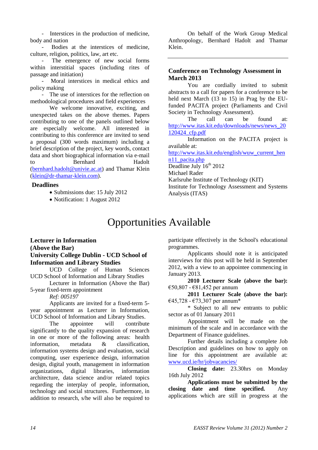- Interstices in the production of medicine, body and nation

Bodies at the interstices of medicine, culture, religion, politics, law, art etc.

The emergence of new social forms within interstitial spaces (including rites of passage and initiation)

Moral interstices in medical ethics and policy making

- The use of interstices for the reflection on methodological procedures and field experiences

We welcome innovative, exciting, and unexpected takes on the above themes. Papers contributing to one of the panels outlined below are especially welcome. All interested in contributing to this conference are invited to send a proposal (300 words maximum) including a brief description of the project, key words, contact data and short biographical information via e-mail to Bernhard Hadolt [\(bernhard.hadolt@univie.ac.at\)](mailto:bernhard.hadolt@univie.ac.at) and Thamar Klein [\(klein@dr-thamar-klein.com\)](mailto:klein@dr-thamar-klein.com).

#### **Deadlines**

- Submissions due: 15 July 2012
- <span id="page-13-0"></span>• Notification: 1 August 2012

On behalf of the Work Group Medical Anthropology, Bernhard Hadolt and Thamar Klein.

#### **Conference on Technology Assessment in March 2013**

You are cordially invited to submit abstracts to a call for papers for a conference to be held next March (13 to 15) in Prag by the EUfunded PACITA project (Parliaments and Civil Society in Technology Assessment).

The call can be found at: [http://www.itas.kit.edu/downloads/news/news\\_20](http://www.itas.kit.edu/downloads/news/news_20120424_cfp.pdf) [120424\\_cfp.pdf](http://www.itas.kit.edu/downloads/news/news_20120424_cfp.pdf)

Information on the PACITA project is available at:

[http://www.itas.kit.edu/english/wuw\\_current\\_hen](http://www.itas.kit.edu/english/wuw_current_henn11_pacita.php) [n11\\_pacita.php](http://www.itas.kit.edu/english/wuw_current_henn11_pacita.php)

Deadline July 16<sup>th</sup> 2012 Michael Rader

Karlsruhe Institute of Technology (KIT)

Institute for Technology Assessment and Systems Analysis (ITAS)

## Opportunities Available

#### **Lecturer in Information (Above the Bar) University College Dublin - UCD School of Information and Library Studies**

UCD College of Human Sciences UCD School of Information and Library Studies

Lecturer in Information (Above the Bar) 5-year fixed-term appointment

*Ref: 005197*

Applicants are invited for a fixed-term 5 year appointment as Lecturer in Information, UCD School of Information and Library Studies.

The appointee will contribute significantly to the quality expansion of research in one or more of the following areas: health information, metadata & classification, information systems design and evaluation, social computing, user experience design, information design, digital youth, management in information organizations, digital libraries, information architecture, data science and/or related topics regarding the interplay of people, information, technology and social structures. Furthermore, in addition to research, s/he will also be required to participate effectively in the School's educational programmes.

Applicants should note it is anticipated interviews for this post will be held in September 2012, with a view to an appointee commencing in January 2013.

**2010 Lecturer Scale (above the bar):** €50,807 - €81,452 per annum

**2011 Lecturer Scale (above the bar):** €45,728 - €73,307 per annum\*

\* Subject to all new entrants to public sector as of 01 January 2011

Appointment will be made on the minimum of the scale and in accordance with the Department of Finance guidelines.

Further details including a complete Job Description and guidelines on how to apply on line for this appointment are available at: [www.ucd.ie/hr/jobvacancies/](http://www.ucd.ie/hr/jobvacancies/)

**Closing date:** 23.30hrs on Monday 16th July 2012

**Applications must be submitted by the closing date and time specified.** Any applications which are still in progress at the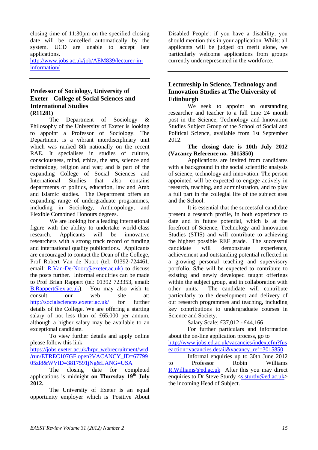closing time of 11:30pm on the specified closing date will be cancelled automatically by the system. UCD are unable to accept late applications.

[http://www.jobs.ac.uk/job/AEM839/lecturer-in](http://www.jobs.ac.uk/job/AEM839/lecturer-in-information/)[information/](http://www.jobs.ac.uk/job/AEM839/lecturer-in-information/)

#### **Professor of Sociology, University of Exeter - College of Social Sciences and International Studies (R11281)**

The Department of Sociology & Philosophy of the University of Exeter is looking to appoint a Professor of Sociology. The Department is a vibrant interdisciplinary unit which was ranked 8th nationally on the recent RAE. It specialises in studies of culture, consciousness, mind, ethics, the arts, science and technology, religion and war; and is part of the expanding College of Social Sciences and International Studies that also contains departments of politics, education, law and Arab and Islamic studies. The Department offers an expanding range of undergraduate programmes, including in Sociology, Anthropology, and Flexible Combined Honours degrees.

We are looking for a leading international figure with the ability to undertake world-class research. Applicants will be innovative researchers with a strong track record of funding and international quality publications. Applicants are encouraged to contact the Dean of the College, Prof Robert Van de Noort (tel: 01392-724461, email: [R.Van-De-Noort@exeter.ac.uk\)](mailto:R.Van-De-Noort@exeter.ac.uk) to discuss the posts further. Informal enquiries can be made to Prof Brian Rappert (tel: 01392 723353, email: [B.Rappert@ex.ac.uk\)](mailto:B.Rappert@ex.ac.uk). You may also wish to consult our web site at: http://socialsciences.exeter.ac.uk/ for further details of the College. We are offering a starting salary of not less than of £65,000 per annum, although a higher salary may be available to an exceptional candidate.

To view further details and apply online please follow this link

[https://jobs.exeter.ac.uk/hrpr\\_webrecruitment/wrd](https://jobs.exeter.ac.uk/hrpr_webrecruitment/wrd/run/ETREC107GF.open?VACANCY_ID=6779905zl8&WVID=3817591jNg&LANG=USA) [/run/ETREC107GF.open?VACANCY\\_ID=67799](https://jobs.exeter.ac.uk/hrpr_webrecruitment/wrd/run/ETREC107GF.open?VACANCY_ID=6779905zl8&WVID=3817591jNg&LANG=USA) [05zl8&WVID=3817591jNg&LANG=USA](https://jobs.exeter.ac.uk/hrpr_webrecruitment/wrd/run/ETREC107GF.open?VACANCY_ID=6779905zl8&WVID=3817591jNg&LANG=USA)

The closing date for completed applications is midnight **on Thursday 19th July 2012.**

The University of Exeter is an equal opportunity employer which is 'Positive About Disabled People': if you have a disability, you should mention this in your application. Whilst all applicants will be judged on merit alone, we particularly welcome applications from groups currently underrepresented in the workforce.

#### **Lectureship in Science, Technology and Innovation Studies at The University of Edinburgh**

We seek to appoint an outstanding researcher and teacher to a full time 24 month post in the Science, Technology and Innovation Studies Subject Group of the School of Social and Political Science, available from 1st September 2012.

#### **The closing date is 10th July 2012 (Vacancy Reference no. 3015850)**

Applications are invited from candidates with a background in the social scientific analysis of science, technology and innovation. The person appointed will be expected to engage actively in research, teaching, and administration, and to play a full part in the collegial life of the subject area and the School.

It is essential that the successful candidate present a research profile, in both experience to date and in future potential, which is at the forefront of Science, Technology and Innovation Studies (STIS) and will contribute to achieving the highest possible REF grade. The successful candidate will demonstrate experience, achievement and outstanding potential reflected in a growing personal teaching and supervisory portfolio. S/he will be expected to contribute to existing and newly developed taught offerings within the subject group, and in collaboration with other units. The candidate will contribute particularly to the development and delivery of our research programmes and teaching, including key contributions to undergraduate courses in Science and Society.

Salary Scale: £37,012 - £44,166

For further particulars and information about the on-line application process, go to [http://www.jobs.ed.ac.uk/vacancies/index.cfm?fus](http://www.jobs.ed.ac.uk/vacancies/index.cfm?fuseaction=vacancies.detail&vacancy_ref=3015850) [eaction=vacancies.detail&vacancy\\_ref=3015850](http://www.jobs.ed.ac.uk/vacancies/index.cfm?fuseaction=vacancies.detail&vacancy_ref=3015850)

Informal enquiries up to 30th June 2012 to Professor Robin Williams R. Williams @ed.ac.uk After this you may direct enquiries to Dr Steve Sturdy [<s.sturdy@ed.ac.uk>](mailto:s.sturdy@ed.ac.uk) the incoming Head of Subject.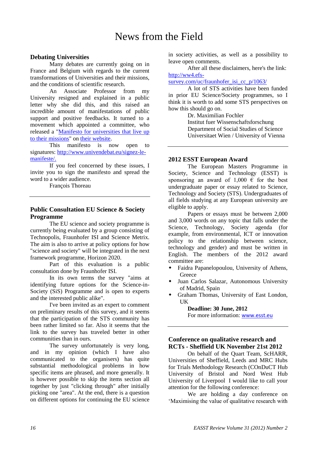#### <span id="page-15-0"></span>**Debating Universities**

Many debates are currently going on in France and Belgium with regards to the current transformations of Universities and their missions, and the conditions of scientific research.

An Associate Professor from my University resigned and explained in a public letter why she did this, and this raised an incredible amount of manifestations of public support and positive feedbacks. It turned to a movement which appointed a committee, who released a ["Manifesto for universities that live up](http://www.univendebat.eu/signez-le-manifeste/manifesto-for-universities-to-stand-up-for-their-missions/)  [to their missions"](http://www.univendebat.eu/signez-le-manifeste/manifesto-for-universities-to-stand-up-for-their-missions/) on [their website.](http://www.univendebat.eu/)

This manifesto is now open to signatures: [http://www.univendebat.eu/signez-le](http://www.univendebat.eu/signez-le-manifeste/)[manifeste/.](http://www.univendebat.eu/signez-le-manifeste/)

If you feel concerned by these issues, I invite you to sign the manifesto and spread the word to a wider audience.

François Thoreau

#### **Public Consultation EU Science & Society Programme**

The EU science and society programme is currently being evaluated by a group consisting of Technopolis, Fraunhofer ISI and Science Metrix. The aim is also to arrive at policy options for how "science and society" will be integrated in the next framework programme, Horizon 2020.

Part of this evaluation is a public consultation done by Fraunhofer ISI.

In its own terms the survey "aims at identifying future options for the Science-in-Society (SiS) Programme and is open to experts and the interested public alike".

I've been invited as an expert to comment on preliminary results of this survey, and it seems that the participation of the STS community has been rather limited so far. Also it seems that the link to the survey has traveled better in other communities than in ours.

The survey unfortunately is very long, and in my opinion (which I have also communicated to the organisers) has quite substantial methodological problems in how specific items are phrased, and more generally. It is however possible to skip the items section all together by just "clicking through" after initially picking one "area". At the end, there is a question on different options for continuing the EU science in society activities, as well as a possibility to leave open comments.

After all these disclaimers, here's the link: [http://ww4.efs-](http://ww4.efs-survey.com/uc/fraunhofer_isi_cc_p/1063/)

[survey.com/uc/fraunhofer\\_isi\\_cc\\_p/1063/](http://ww4.efs-survey.com/uc/fraunhofer_isi_cc_p/1063/)

A lot of STS activities have been funded in prior EU Science/Society programmes, so I think it is worth to add some STS perspectives on how this should go on.

> Dr. Maximilian Fochler Institut fuer Wissenschaftsforschung Department of Social Studies of Science Universitaet Wien / University of Vienna

#### **2012 ESST European Award**

The European Masters Programme in Society, Science and Technology (ESST) is sponsoring an award of 1,000  $\epsilon$  for the best undergraduate paper or essay related to Science, Technology and Society (STS). Undergraduates of all fields studying at any European university are eligible to apply.

Papers or essays must be between 2,000 and 3,000 words on any topic that falls under the Science, Technology, Society agenda (for example, from environmental, ICT or innovation policy to the relationship between science, technology and gender) and must be written in English. The members of the 2012 award committee are:

- Faidra Papanelopoulou, University of Athens, **Greece**
- Juan Carlos Salazar, Autonomous University of Madrid, Spain
- Graham Thomas, University of East London, UK

**Deadline: 30 June, 2012** For more information: [www.esst.eu](http://www.esst.eu/)

#### **Conference on qualitative research and RCTs - Sheffield UK November 21st 2012**

On behalf of the Quart Team, ScHARR, Universities of Sheffield, Leeds and MRC Hubs for Trials Methodology Research (COnDuCT Hub University of Bristol and Nord West Hub University of Liverpool I would like to call your attention for the following conference:

We are holding a day conference on 'Maximising the value of qualitative research with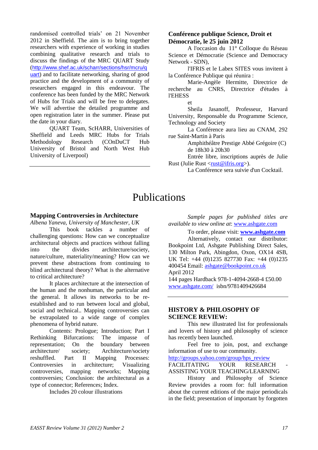randomised controlled trials' on 21 November 2012 in Sheffield. The aim is to bring together researchers with experience of working in studies combining qualitative research and trials to discuss the findings of the MRC QUART Study ([http://www.shef.ac.uk/scharr/sections/hsr/mcru/q](http://www.shef.ac.uk/scharr/sections/hsr/mcru/quart) [uart](http://www.shef.ac.uk/scharr/sections/hsr/mcru/quart)) and to facilitate networking, sharing of good practice and the development of a community of researchers engaged in this endeavour. The conference has been funded by the MRC Network of Hubs for Trials and will be free to delegates. We will advertise the detailed programme and open registration later in the summer. Please put the date in your diary.

QUART Team, ScHARR, Universities of Sheffield and Leeds MRC Hubs for Trials Methodology Research (COnDuCT Hub University of Bristol and North West Hub University of Liverpool)

#### **Conférence publique Science, Droit et Démocratie, le 25 juin 2012**

A l'occasion du 11° Colloque du Réseau Science et Démocratie (Science and Democracy Network - SDN),

l'IFRIS et le Labex SITES vous invitent à la Conférence Publique qui réunira :

Marie-Angèle Hermitte, Directrice de recherche au CNRS, Directrice d'études à l'EHESS

et

Sheila Jasanoff, Professeur, Harvard University, Responsable du Programme Science, Technology and Society

La Conférence aura lieu au CNAM, 292 rue Saint-Martin à Paris

Amphithéâtre Prestige Abbé Grégoire (C) de 18h30 à 20h30

Entrée libre, inscriptions auprès de Julie Rust (Julie Rust <*rust@ifris.org*>).

La Conférence sera suivie d'un Cocktail.

## Publications

#### <span id="page-16-0"></span>**Mapping Controversies in Architecture**

*Albena Yaneva, University of Manchester, UK* This book tackles a number of challenging questions: How can we conceptualize architectural objects and practices without falling into the divides architecture/society, nature/culture, materiality/meaning? How can we prevent these abstractions from continuing to blind architectural theory? What is the alternative to critical architecture?

It places architecture at the intersection of the human and the nonhuman, the particular and the general. It allows its networks to be reestablished and to run between local and global, social and technical.. Mapping controversies can be extrapolated to a wide range of complex phenomena of hybrid nature.

Contents: Prologue; Introduction; Part I Rethinking Bifurcations: The impasse of representation; On the boundary between architecture/ society; Architecture/society reshuffled. Part II Mapping Processes: Controversies in architecture; Visualizing controversies, mapping networks; Mapping controversies; Conclusion: the architectural as a type of connector; References; Index.

Includes 20 colour illustrations

*Sample pages for published titles are available to view online at*: [www.ashgate.com](http://www.ashgate.com/)

To order, please visit: **[www.ashgate.com](http://www.ashgate.com/)** Alternatively, contact our distributor: Bookpoint Ltd, Ashgate Publishing Direct Sales, 130 Milton Park, Abingdon, Oxon, OX14 4SB, UK Tel: +44 (0)1235 827730 Fax: +44 (0)1235 400454 Email: [ashgate@bookpoint.co.uk](mailto:ashgate@bookpoint.co.uk) April 2012

144 pages Hardback 978-1-4094-2668-4 £50.00 [www.ashgate.com/](http://www.ashgate.com/) isbn/9781409426684

#### **HISTORY & PHILOSOPHY OF SCIENCE REVIEW:**

This new illustrated list for professionals and lovers of history and philosophy of science has recently been launched.

Feel free to join, post, and exchange information of use to our community.

[http://groups.yahoo.com/group/hps\\_review](http://groups.yahoo.com/group/hps_review)

FACILITATING YOUR RESEARCH ASSISTING YOUR TEACHING/LEARNING

History and Philosophy of Science Review provides a room for: full information about the current editions of the major periodicals in the field; presentation of important by forgotten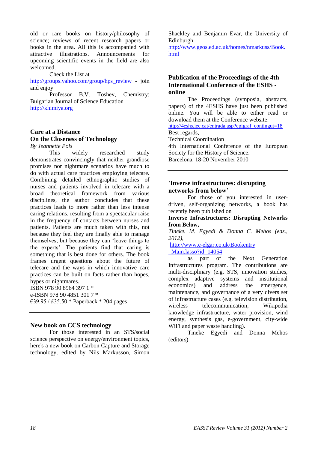old or rare books on history/philosophy of science; reviews of recent research papers or books in the area. All this is accompanied with attractive illustrations. Announcements for upcoming scientific events in the field are also welcomed.

Check the List at

[http://groups.yahoo.com/group/hps\\_review](http://groups.yahoo.com/group/hps_review) - join and enjoy

Professor B.V. Toshev, Chemistry: Bulgarian Journal of Science Education [http://khimiya.org](http://khimiya.org/)

#### **Care at a Distance On the Closeness of Technology**

*By Jeannette Pols*

This widely researched study demonstrates convincingly that neither grandiose promises nor nightmare scenarios have much to do with actual care practices employing telecare. Combining detailed ethnographic studies of nurses and patients involved in telecare with a broad theoretical framework from various disciplines, the author concludes that these practices leads to more rather than less intense caring relations, resulting from a spectacular raise in the frequency of contacts between nurses and patients. Patients are much taken with this, not because they feel they are finally able to manage themselves, but because they can 'leave things to the experts'. The patients find that caring is something that is best done for others. The book frames urgent questions about the future of telecare and the ways in which innovative care practices can be built on facts rather than hopes, hypes or nightmares.

ISBN 978 90 8964 397 1 \* e-ISBN 978 90 4851 301 7 \* €39.95 / £35.50 \* Paperback \* 204 pages

#### **New book on CCS technology**

For those interested in an STS/social science perspective on energy/environment topics, here's a new book on Carbon Capture and Storage technology, edited by Nils Markusson, Simon Shackley and Benjamin Evar, the University of Edinburgh.

[http://www.geos.ed.ac.uk/homes/nmarkuss/Book.](http://www.geos.ed.ac.uk/homes/nmarkuss/Book.html) [html](http://www.geos.ed.ac.uk/homes/nmarkuss/Book.html)

#### **Publication of the Proceedings of the 4th International Conference of the ESHS online**

The Proceedings (symposia, abstracts, papers) of the 4ESHS have just been published online. You will be able to either read or download them at the Conference website: [http://4eshs.iec.cat/entrada.asp?epigraf\\_contingut=18](http://4eshs.iec.cat/entrada.asp?epigraf_contingut=18)

Best regards, Technical Coordination

4th International Conference of the European Society for the History of Science.

Barcelona, 18-20 November 2010

#### **'Inverse infrastructures: disrupting networks from below'**

For those of you interested in userdriven, self-organizing networks, a book has recently been published on

#### **[Inverse Infrastructures: Disrupting Networks](http://www.e-elgar.co.uk/Bookentry_Main.lasso?id=14054)  [from Below,](http://www.e-elgar.co.uk/Bookentry_Main.lasso?id=14054)**

*Tineke. M. Egyedi & Donna C. Mehos (eds., 2012),*

[http://www.e-elgar.co.uk/Bookentry](http://www.e-elgar.co.uk/Bookentry_Main.lasso?id=14054) [\\_Main.lasso?id=14054](http://www.e-elgar.co.uk/Bookentry_Main.lasso?id=14054)

as part of the Next Generation Infrastructures program. The contributions are multi-disciplinary (e.g. STS, innovation studies, complex adaptive systems and institutional economics) and address the emergence, maintenance, and governance of a very divers set of infrastructure cases (e.g. television distribution, wireless telecommunication, Wikipedia knowledge infrastructure, water provision, wind energy, synthesis gas, e-government, city-wide WiFi and paper waste handling).

Tineke Egyedi and Donna Mehos (editors)